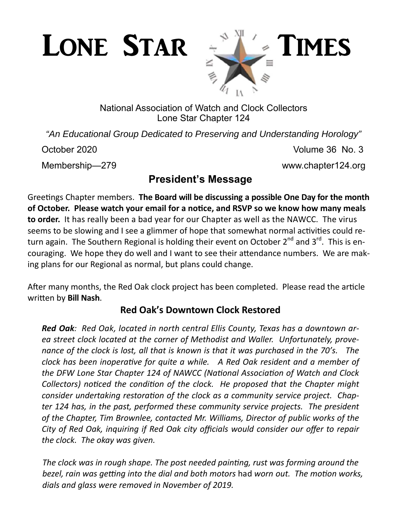

National Association of Watch and Clock Collectors Lone Star Chapter 124

*"An Educational Group Dedicated to Preserving and Understanding Horology"* 

October 2020 Volume 36 No. 3

Membership—279 www.chapter124.org

# **President's Message**

Greetings Chapter members. **The Board will be discussing a possible One Day for the month of October. Please watch your email for a noƟce, and RSVP so we know how many meals to order.** It has really been a bad year for our Chapter as well as the NAWCC. The virus seems to be slowing and I see a glimmer of hope that somewhat normal activities could return again. The Southern Regional is holding their event on October 2<sup>nd</sup> and 3<sup>rd</sup>. This is encouraging. We hope they do well and I want to see their attendance numbers. We are making plans for our Regional as normal, but plans could change.

After many months, the Red Oak clock project has been completed. Please read the article wriƩen by **Bill Nash**.

# **Red Oak's Downtown Clock Restored**

*Red Oak: Red Oak, located in north central Ellis County, Texas has a downtown area street clock located at the corner of Methodist and Waller. Unfortunately, provenance of the clock is lost, all that is known is that it was purchased in the 70's. The clock has been inoperative for quite a while. A Red Oak resident and a member of the DFW Lone Star Chapter 124 of NAWCC (National Association of Watch and Clock Collectors) noticed the condition of the clock. He proposed that the Chapter might consider undertaking restoration of the clock as a community service project. Chapter 124 has, in the past, performed these community service projects. The president of the Chapter, Tim Brownlee, contacted Mr. Williams, Director of public works of the City of Red Oak, inquiring if Red Oak city officials would consider our offer to repair the clock. The okay was given.* 

The clock was in rough shape. The post needed painting, rust was forming around the *bezel, rain was geƫng into the dial and both motors* had *worn out. The moƟon works, dials and glass were removed in November of 2019.*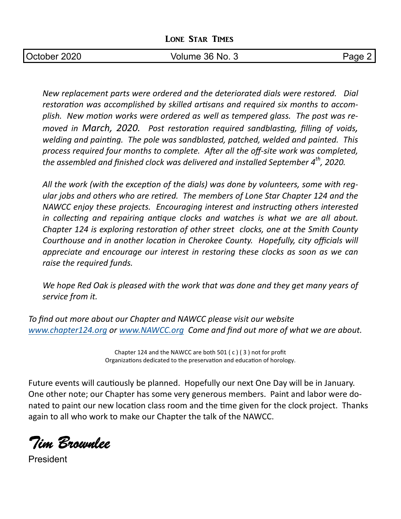|  |  | <b>LONE STAR TIMES</b> |
|--|--|------------------------|
|--|--|------------------------|

| October 2020 | 36 No.<br>Volume | מ∩בי<br>- |
|--------------|------------------|-----------|

*New replacement parts were ordered and the deteriorated dials were restored. Dial*  restoration was accomplished by skilled artisans and required six months to accomplish. New motion works were ordered as well as tempered glass. The post was re*moved in March, 2020. Post restoration required sandblasting, filling of voids, welding and painting. The pole was sandblasted, patched, welded and painted. This* process required four months to complete. After all the off-site work was completed, *the assembled and finished clock was delivered and installed September 4<sup>th</sup>, 2020.* 

All the work (with the exception of the dials) was done by volunteers, some with reg*ular jobs and others who are reƟred. The members of Lone Star Chapter 124 and the NAWCC enjoy these projects. Encouraging interest and instructing others interested* in collecting and repairing antique clocks and watches is what we are all about. *Chapter 124 is exploring restoration of other street clocks, one at the Smith County Courthouse and in another location in Cherokee County. Hopefully, city officials will appreciate and encourage our interest in restoring these clocks as soon as we can raise the required funds.* 

*We hope Red Oak is pleased with the work that was done and they get many years of service from it.* 

*To find out more about our Chapter and NAWCC please visit our website www.chapter124.org or www.NAWCC.org Come and find out more of what we are about.* 

> Chapter 124 and the NAWCC are both 501 ( c ) ( 3 ) not for profit Organizations dedicated to the preservation and education of horology.

Future events will cautiously be planned. Hopefully our next One Day will be in January. One other note; our Chapter has some very generous members. Paint and labor were donated to paint our new location class room and the time given for the clock project. Thanks again to all who work to make our Chapter the talk of the NAWCC.

*Tim Brownlee* 

President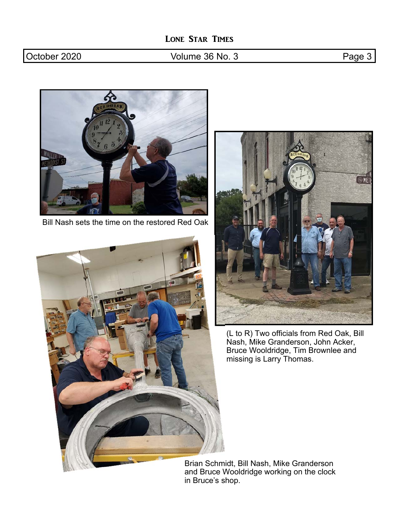### October 2020 **Volume 36 No. 3** Page 3



Bill Nash sets the time on the restored Red Oak





(L to R) Two officials from Red Oak, Bill Nash, Mike Granderson, John Acker, Bruce Wooldridge, Tim Brownlee and missing is Larry Thomas.

Brian Schmidt, Bill Nash, Mike Granderson and Bruce Wooldridge working on the clock in Bruce's shop.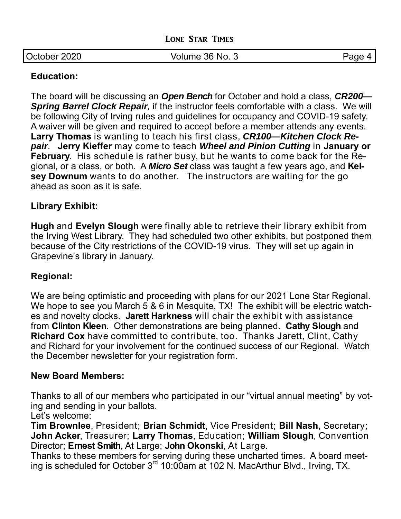|  |  | <b>LONE STAR TIMES</b> |
|--|--|------------------------|
|--|--|------------------------|

| October 2020 | Volume 36 No. 3 | Page |
|--------------|-----------------|------|
|              |                 |      |

#### **Education:**

The board will be discussing an *Open Bench* for October and hold a class, *CR200— Spring Barrel Clock Repair,* if the instructor feels comfortable with a class. We will be following City of Irving rules and guidelines for occupancy and COVID-19 safety. A waiver will be given and required to accept before a member attends any events. **Larry Thomas** is wanting to teach his first class, *CR100—Kitchen Clock Repair*. **Jerry Kieffer** may come to teach *Wheel and Pinion Cutting* in **January or February**. His schedule is rather busy, but he wants to come back for the Regional, or a class, or both. A *Micro Set* class was taught a few years ago, and **Kelsey Downum** wants to do another. The instructors are waiting for the go ahead as soon as it is safe.

#### **Library Exhibit:**

**Hugh** and **Evelyn Slough** were finally able to retrieve their library exhibit from the Irving West Library. They had scheduled two other exhibits, but postponed them because of the City restrictions of the COVID-19 virus. They will set up again in Grapevine's library in January.

#### **Regional:**

We are being optimistic and proceeding with plans for our 2021 Lone Star Regional. We hope to see you March 5 & 6 in Mesquite, TX! The exhibit will be electric watches and novelty clocks. **Jarett Harkness** will chair the exhibit with assistance from **Clinton Kleen.** Other demonstrations are being planned. **Cathy Slough** and **Richard Cox** have committed to contribute, too. Thanks Jarett, Clint, Cathy and Richard for your involvement for the continued success of our Regional. Watch the December newsletter for your registration form.

#### **New Board Members:**

Thanks to all of our members who participated in our "virtual annual meeting" by voting and sending in your ballots.

Let's welcome:

**Tim Brownlee**, President; **Brian Schmidt**, Vice President; **Bill Nash**, Secretary; **John Acker**, Treasurer; **Larry Thomas**, Education; **William Slough**, Convention Director; **Ernest Smith**, At Large; **John Okonski**, At Large.

Thanks to these members for serving during these uncharted times. A board meeting is scheduled for October  $3<sup>rd</sup> 10:00$ am at 102 N. MacArthur Blvd., Irving, TX.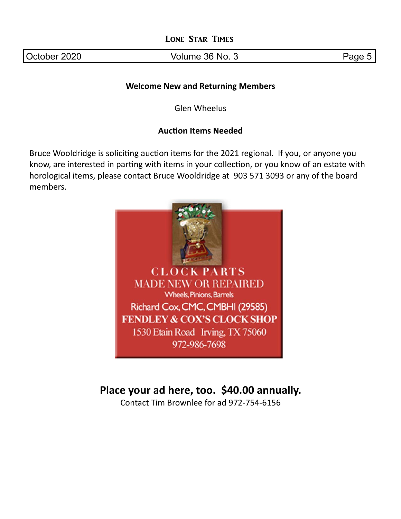October 2020 **Volume 36 No. 3** Page 5

#### **Welcome New and Returning Members**

Glen Wheelus

#### **Auction Items Needed**

Bruce Wooldridge is soliciting auction items for the 2021 regional. If you, or anyone you know, are interested in parting with items in your collection, or you know of an estate with horological items, please contact Bruce Wooldridge at 903 571 3093 or any of the board members.



# **Place your ad here, too. \$40.00 annually.**

Contact Tim Brownlee for ad 972‐754‐6156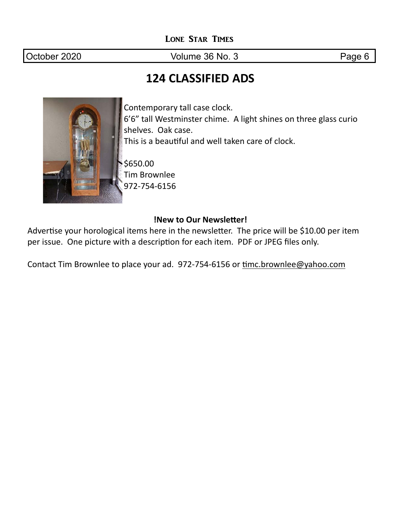October 2020 **Volume 36 No. 3** Page 6

# **124 CLASSIFIED ADS**



Contemporary tall case clock. 6'6" tall Westminster chime. A light shines on three glass curio shelves. Oak case. This is a beautiful and well taken care of clock.

\$650.00 Tim Brownlee 972‐754‐6156

#### **!New to Our Newsletter!**

Advertise your horological items here in the newsletter. The price will be \$10.00 per item per issue. One picture with a description for each item. PDF or JPEG files only.

Contact Tim Brownlee to place your ad. 972-754-6156 or timc.brownlee@yahoo.com